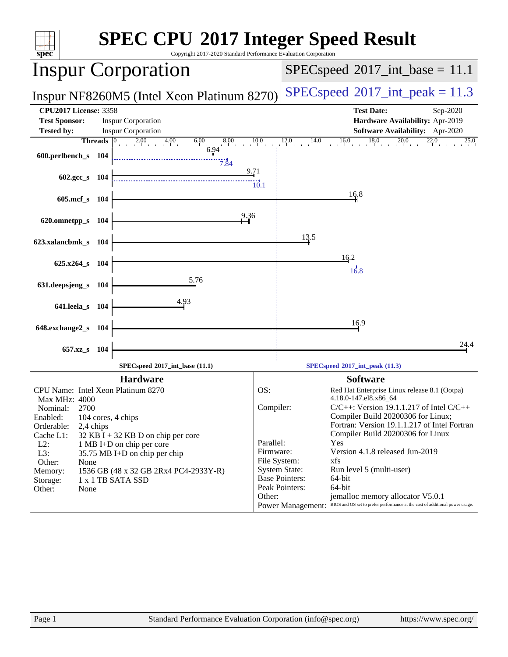| spec <sup>®</sup>                                         |       | Copyright 2017-2020 Standard Performance Evaluation Corporation |                        | <b>SPEC CPU®2017 Integer Speed Result</b>                                                      |          |
|-----------------------------------------------------------|-------|-----------------------------------------------------------------|------------------------|------------------------------------------------------------------------------------------------|----------|
|                                                           |       | <b>Inspur Corporation</b>                                       |                        | $SPEC speed^{\circ}2017\_int\_base = 11.1$                                                     |          |
|                                                           |       | Inspur NF8260M5 (Intel Xeon Platinum 8270)                      |                        | $SPEC speed^{\circ}2017\_int\_peak = 11.3$                                                     |          |
| <b>CPU2017 License: 3358</b>                              |       |                                                                 |                        | <b>Test Date:</b>                                                                              | Sep-2020 |
| <b>Test Sponsor:</b>                                      |       | <b>Inspur Corporation</b>                                       |                        | Hardware Availability: Apr-2019                                                                |          |
| <b>Tested by:</b><br><b>Threads</b> $\vert 0 \rangle$     |       | <b>Inspur Corporation</b><br>6.00<br>8.00                       | 10.0                   | Software Availability: Apr-2020<br>18.0<br>20.0<br>12.0<br>16.0<br>14.0                        | 25.0     |
|                                                           |       | $2.00$ $4.00$<br>6.94                                           |                        |                                                                                                |          |
| 600.perlbench_s 104                                       |       | 7.84                                                            |                        |                                                                                                |          |
|                                                           |       | 9.71                                                            |                        |                                                                                                |          |
| $602.\text{gcc s}$ 104                                    |       |                                                                 | 10.1                   |                                                                                                |          |
| 605.mcf_s 104                                             |       |                                                                 |                        | 16.8                                                                                           |          |
|                                                           |       |                                                                 |                        |                                                                                                |          |
| 620.omnetpp_s 104                                         |       | 9.36                                                            |                        |                                                                                                |          |
|                                                           |       |                                                                 |                        |                                                                                                |          |
| 623.xalancbmk_s 104                                       |       |                                                                 |                        | 13.5                                                                                           |          |
|                                                           |       |                                                                 |                        | 16.2                                                                                           |          |
| 625.x264_s 104                                            |       |                                                                 |                        | $\frac{1}{6.8}$                                                                                |          |
|                                                           |       | 5.76                                                            |                        |                                                                                                |          |
| 631.deepsjeng_s 104                                       |       |                                                                 |                        |                                                                                                |          |
| 641.leela_s 104                                           |       | 4.93                                                            |                        |                                                                                                |          |
|                                                           |       |                                                                 |                        |                                                                                                |          |
| 648.exchange2_s                                           | - 104 |                                                                 |                        | 16.9                                                                                           |          |
|                                                           |       |                                                                 |                        |                                                                                                |          |
| 657.xz_s                                                  | - 104 |                                                                 |                        |                                                                                                | 24.4     |
|                                                           |       | SPECspeed®2017_int_base (11.1)                                  |                        | SPECspeed <sup>®</sup> 2017_int_peak (11.3)                                                    |          |
|                                                           |       | <b>Hardware</b>                                                 |                        | <b>Software</b>                                                                                |          |
| CPU Name: Intel Xeon Platinum 8270                        |       |                                                                 | OS:                    | Red Hat Enterprise Linux release 8.1 (Ootpa)                                                   |          |
| Max MHz: 4000                                             |       |                                                                 |                        | 4.18.0-147.el8.x86_64                                                                          |          |
| 2700<br>Nominal:                                          |       |                                                                 | Compiler:              | $C/C++$ : Version 19.1.1.217 of Intel $C/C++$<br>Compiler Build 20200306 for Linux;            |          |
| Enabled:<br>104 cores, 4 chips<br>Orderable:<br>2,4 chips |       |                                                                 |                        | Fortran: Version 19.1.1.217 of Intel Fortran                                                   |          |
| Cache L1:                                                 |       | 32 KB I + 32 KB D on chip per core                              |                        | Compiler Build 20200306 for Linux                                                              |          |
| $L2$ :<br>L3:                                             |       | 1 MB I+D on chip per core                                       | Parallel:<br>Firmware: | Yes<br>Version 4.1.8 released Jun-2019                                                         |          |
| Other:<br>None                                            |       | 35.75 MB I+D on chip per chip                                   |                        | File System:<br>xfs                                                                            |          |
| Memory:                                                   |       | 1536 GB (48 x 32 GB 2Rx4 PC4-2933Y-R)                           |                        | <b>System State:</b><br>Run level 5 (multi-user)                                               |          |
| Storage:                                                  |       | 1 x 1 TB SATA SSD                                               |                        | <b>Base Pointers:</b><br>64-bit<br>Peak Pointers:<br>64-bit                                    |          |
| Other:<br>None                                            |       |                                                                 | Other:                 | jemalloc memory allocator V5.0.1                                                               |          |
|                                                           |       |                                                                 |                        | Power Management: BIOS and OS set to prefer performance at the cost of additional power usage. |          |
|                                                           |       |                                                                 |                        |                                                                                                |          |
|                                                           |       |                                                                 |                        |                                                                                                |          |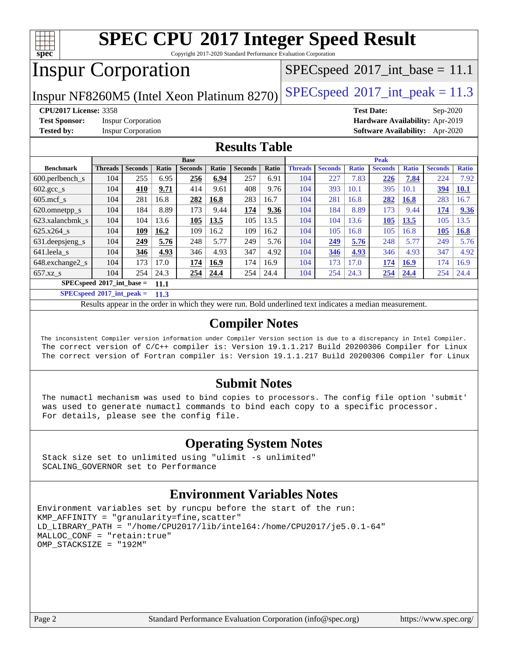

Copyright 2017-2020 Standard Performance Evaluation Corporation

## Inspur Corporation

 $SPECspeed^{\circledast}2017\_int\_base = 11.1$  $SPECspeed^{\circledast}2017\_int\_base = 11.1$ 

Inspur NF8260M5 (Intel Xeon Platinum 8270) [SPECspeed](http://www.spec.org/auto/cpu2017/Docs/result-fields.html#SPECspeed2017intpeak)<sup>®</sup>[2017\\_int\\_peak = 1](http://www.spec.org/auto/cpu2017/Docs/result-fields.html#SPECspeed2017intpeak)1.3

**[Test Sponsor:](http://www.spec.org/auto/cpu2017/Docs/result-fields.html#TestSponsor)** Inspur Corporation **[Hardware Availability:](http://www.spec.org/auto/cpu2017/Docs/result-fields.html#HardwareAvailability)** Apr-2019

**[CPU2017 License:](http://www.spec.org/auto/cpu2017/Docs/result-fields.html#CPU2017License)** 3358 **[Test Date:](http://www.spec.org/auto/cpu2017/Docs/result-fields.html#TestDate)** Sep-2020 **[Tested by:](http://www.spec.org/auto/cpu2017/Docs/result-fields.html#Testedby)** Inspur Corporation **[Software Availability:](http://www.spec.org/auto/cpu2017/Docs/result-fields.html#SoftwareAvailability)** Apr-2020

### **[Results Table](http://www.spec.org/auto/cpu2017/Docs/result-fields.html#ResultsTable)**

|                                            | <b>Base</b>    |                |       |                | <b>Peak</b> |                |       |                |                |              |                |              |                |              |
|--------------------------------------------|----------------|----------------|-------|----------------|-------------|----------------|-------|----------------|----------------|--------------|----------------|--------------|----------------|--------------|
| <b>Benchmark</b>                           | <b>Threads</b> | <b>Seconds</b> | Ratio | <b>Seconds</b> | Ratio       | <b>Seconds</b> | Ratio | <b>Threads</b> | <b>Seconds</b> | <b>Ratio</b> | <b>Seconds</b> | <b>Ratio</b> | <b>Seconds</b> | <b>Ratio</b> |
| $600.$ perlbench s                         | 104            | 255            | 6.95  | 256            | 6.94        | 257            | 6.91  | 104            | 227            | 7.83         | 226            | 7.84         | 224            | 7.92         |
| $602 \text{.} \text{gcc}\text{_<}$ s       | 104            | 410            | 9.71  | 414            | 9.61        | 408            | 9.76  | 104            | 393            | 10.1         | 395            | 10.1         | 394            | <b>10.1</b>  |
| $605$ .mcf s                               | 104            | 281            | 16.8  | 282            | 16.8        | 283            | 16.7  | 104            | 281            | 16.8         | 282            | <b>16.8</b>  | 283            | 16.7         |
| 620.omnetpp_s                              | 104            | 184            | 8.89  | 173            | 9.44        | 174            | 9.36  | 104            | 184            | 8.89         | 173            | 9.44         | 174            | 9.36         |
| 623.xalancbmk s                            | 104            | 104            | 13.6  | 105            | 13.5        | 105            | 13.5  | 104            | 104            | 13.6         | 105            | 13.5         | 105            | 13.5         |
| 625.x264 s                                 | 104            | 109            | 16.2  | 109            | 16.2        | 109            | 16.2  | 104            | 105            | 16.8         | 105            | 16.8         | 105            | 16.8         |
| 631.deepsjeng_s                            | 104            | 249            | 5.76  | 248            | 5.77        | 249            | 5.76  | 104            | 249            | 5.76         | 248            | 5.77         | 249            | 5.76         |
| 641.leela_s                                | 104            | 346            | 4.93  | 346            | 4.93        | 347            | 4.92  | 104            | 346            | 4.93         | 346            | 4.93         | 347            | 4.92         |
| 648.exchange2 s                            | 104            | 173            | 17.0  | 174            | 16.9        | 174            | 16.9  | 104            | 173            | 17.0         | 174            | <b>16.9</b>  | 174            | 16.9         |
| $657.xz$ s                                 | 104            | 254            | 24.3  | 254            | 24.4        | 254            | 24.4  | 104            | 254            | 24.3         | 254            | 24.4         | 254            | 24.4         |
| $SPECspeed^{\circ}2017$ int base =<br>11.1 |                |                |       |                |             |                |       |                |                |              |                |              |                |              |

**[SPECspeed](http://www.spec.org/auto/cpu2017/Docs/result-fields.html#SPECspeed2017intpeak)[2017\\_int\\_peak =](http://www.spec.org/auto/cpu2017/Docs/result-fields.html#SPECspeed2017intpeak) 11.3**

Results appear in the [order in which they were run.](http://www.spec.org/auto/cpu2017/Docs/result-fields.html#RunOrder) Bold underlined text [indicates a median measurement](http://www.spec.org/auto/cpu2017/Docs/result-fields.html#Median).

### **[Compiler Notes](http://www.spec.org/auto/cpu2017/Docs/result-fields.html#CompilerNotes)**

 The inconsistent Compiler version information under Compiler Version section is due to a discrepancy in Intel Compiler. The correct version of C/C++ compiler is: Version 19.1.1.217 Build 20200306 Compiler for Linux The correct version of Fortran compiler is: Version 19.1.1.217 Build 20200306 Compiler for Linux

#### **[Submit Notes](http://www.spec.org/auto/cpu2017/Docs/result-fields.html#SubmitNotes)**

 The numactl mechanism was used to bind copies to processors. The config file option 'submit' was used to generate numactl commands to bind each copy to a specific processor. For details, please see the config file.

### **[Operating System Notes](http://www.spec.org/auto/cpu2017/Docs/result-fields.html#OperatingSystemNotes)**

 Stack size set to unlimited using "ulimit -s unlimited" SCALING\_GOVERNOR set to Performance

#### **[Environment Variables Notes](http://www.spec.org/auto/cpu2017/Docs/result-fields.html#EnvironmentVariablesNotes)**

```
Environment variables set by runcpu before the start of the run:
KMP_AFFINITY = "granularity=fine,scatter"
LD_LIBRARY_PATH = "/home/CPU2017/lib/intel64:/home/CPU2017/je5.0.1-64"
MALLOC_CONF = "retain:true"
OMP_STACKSIZE = "192M"
```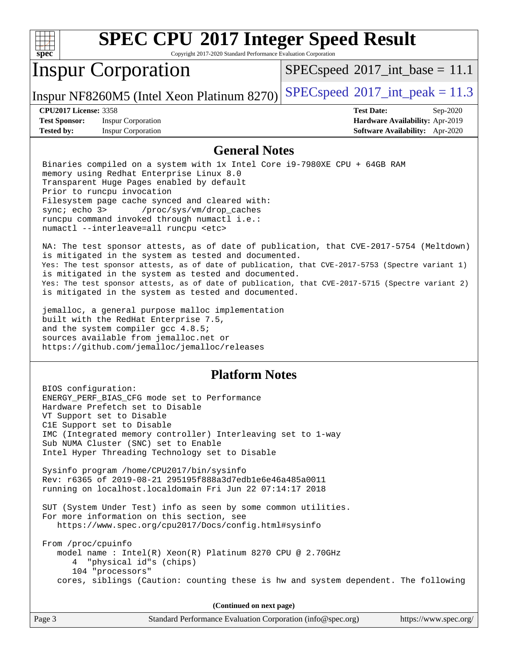

Copyright 2017-2020 Standard Performance Evaluation Corporation

## Inspur Corporation

 $SPECspeed^{\circ}2017\_int\_base = 11.1$  $SPECspeed^{\circ}2017\_int\_base = 11.1$ 

Inspur NF8260M5 (Intel Xeon Platinum 8270) [SPECspeed](http://www.spec.org/auto/cpu2017/Docs/result-fields.html#SPECspeed2017intpeak)<sup>®</sup>[2017\\_int\\_peak = 1](http://www.spec.org/auto/cpu2017/Docs/result-fields.html#SPECspeed2017intpeak)1.3

**[Test Sponsor:](http://www.spec.org/auto/cpu2017/Docs/result-fields.html#TestSponsor)** Inspur Corporation **[Hardware Availability:](http://www.spec.org/auto/cpu2017/Docs/result-fields.html#HardwareAvailability)** Apr-2019 **[Tested by:](http://www.spec.org/auto/cpu2017/Docs/result-fields.html#Testedby)** Inspur Corporation **[Software Availability:](http://www.spec.org/auto/cpu2017/Docs/result-fields.html#SoftwareAvailability)** Apr-2020

**[CPU2017 License:](http://www.spec.org/auto/cpu2017/Docs/result-fields.html#CPU2017License)** 3358 **[Test Date:](http://www.spec.org/auto/cpu2017/Docs/result-fields.html#TestDate)** Sep-2020

### **[General Notes](http://www.spec.org/auto/cpu2017/Docs/result-fields.html#GeneralNotes)**

 Binaries compiled on a system with 1x Intel Core i9-7980XE CPU + 64GB RAM memory using Redhat Enterprise Linux 8.0 Transparent Huge Pages enabled by default Prior to runcpu invocation Filesystem page cache synced and cleared with: sync; echo 3> /proc/sys/vm/drop\_caches runcpu command invoked through numactl i.e.: numactl --interleave=all runcpu <etc>

 NA: The test sponsor attests, as of date of publication, that CVE-2017-5754 (Meltdown) is mitigated in the system as tested and documented. Yes: The test sponsor attests, as of date of publication, that CVE-2017-5753 (Spectre variant 1) is mitigated in the system as tested and documented. Yes: The test sponsor attests, as of date of publication, that CVE-2017-5715 (Spectre variant 2) is mitigated in the system as tested and documented.

 jemalloc, a general purpose malloc implementation built with the RedHat Enterprise 7.5, and the system compiler gcc 4.8.5; sources available from jemalloc.net or <https://github.com/jemalloc/jemalloc/releases>

### **[Platform Notes](http://www.spec.org/auto/cpu2017/Docs/result-fields.html#PlatformNotes)**

 BIOS configuration: ENERGY\_PERF\_BIAS\_CFG mode set to Performance Hardware Prefetch set to Disable VT Support set to Disable C1E Support set to Disable IMC (Integrated memory controller) Interleaving set to 1-way Sub NUMA Cluster (SNC) set to Enable Intel Hyper Threading Technology set to Disable Sysinfo program /home/CPU2017/bin/sysinfo Rev: r6365 of 2019-08-21 295195f888a3d7edb1e6e46a485a0011 running on localhost.localdomain Fri Jun 22 07:14:17 2018 SUT (System Under Test) info as seen by some common utilities. For more information on this section, see <https://www.spec.org/cpu2017/Docs/config.html#sysinfo> From /proc/cpuinfo model name : Intel(R) Xeon(R) Platinum 8270 CPU @ 2.70GHz 4 "physical id"s (chips) 104 "processors" cores, siblings (Caution: counting these is hw and system dependent. The following

**(Continued on next page)**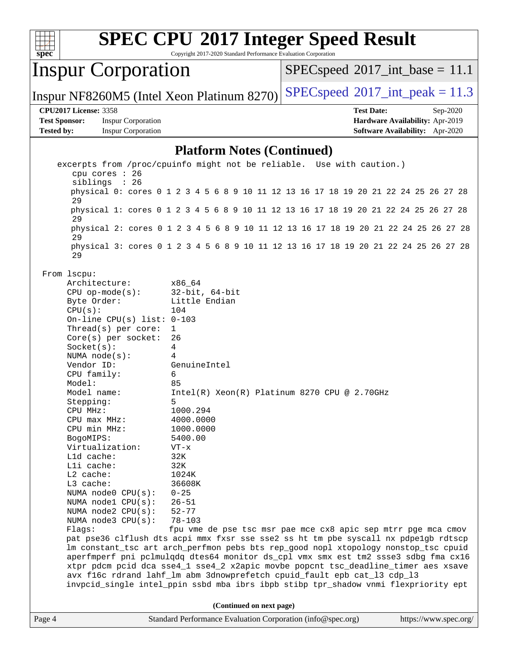

Copyright 2017-2020 Standard Performance Evaluation Corporation

## Inspur Corporation

 $SPECspeed^{\circ}2017\_int\_base = 11.1$  $SPECspeed^{\circ}2017\_int\_base = 11.1$ 

Inspur NF8260M5 (Intel Xeon Platinum 8270) [SPECspeed](http://www.spec.org/auto/cpu2017/Docs/result-fields.html#SPECspeed2017intpeak)<sup>®</sup>[2017\\_int\\_peak = 1](http://www.spec.org/auto/cpu2017/Docs/result-fields.html#SPECspeed2017intpeak)1.3

#### **[CPU2017 License:](http://www.spec.org/auto/cpu2017/Docs/result-fields.html#CPU2017License)** 3358 **[Test Date:](http://www.spec.org/auto/cpu2017/Docs/result-fields.html#TestDate)** Sep-2020

**[Test Sponsor:](http://www.spec.org/auto/cpu2017/Docs/result-fields.html#TestSponsor)** Inspur Corporation **[Hardware Availability:](http://www.spec.org/auto/cpu2017/Docs/result-fields.html#HardwareAvailability)** Apr-2019 **[Tested by:](http://www.spec.org/auto/cpu2017/Docs/result-fields.html#Testedby)** Inspur Corporation **[Software Availability:](http://www.spec.org/auto/cpu2017/Docs/result-fields.html#SoftwareAvailability)** Apr-2020

#### **[Platform Notes \(Continued\)](http://www.spec.org/auto/cpu2017/Docs/result-fields.html#PlatformNotes)**

Page 4 Standard Performance Evaluation Corporation [\(info@spec.org\)](mailto:info@spec.org) <https://www.spec.org/> excerpts from /proc/cpuinfo might not be reliable. Use with caution.) cpu cores : 26 siblings : 26 physical 0: cores 0 1 2 3 4 5 6 8 9 10 11 12 13 16 17 18 19 20 21 22 24 25 26 27 28 29 physical 1: cores 0 1 2 3 4 5 6 8 9 10 11 12 13 16 17 18 19 20 21 22 24 25 26 27 28 29 physical 2: cores 0 1 2 3 4 5 6 8 9 10 11 12 13 16 17 18 19 20 21 22 24 25 26 27 28 29 physical 3: cores 0 1 2 3 4 5 6 8 9 10 11 12 13 16 17 18 19 20 21 22 24 25 26 27 28 29 From lscpu: Architecture: x86\_64 CPU op-mode(s): 32-bit, 64-bit Byte Order: Little Endian  $CPU(s):$  104 On-line CPU(s) list: 0-103 Thread(s) per core: 1 Core(s) per socket: 26 Socket(s): 4 NUMA node(s): 4 Vendor ID: GenuineIntel CPU family: 6 Model: 85 Model name: Intel(R) Xeon(R) Platinum 8270 CPU @ 2.70GHz Stepping: 5 CPU MHz: 1000.294 CPU max MHz: 4000.0000 CPU min MHz: 1000.0000 BogoMIPS: 5400.00 Virtualization: VT-x L1d cache: 32K L1i cache: 32K L2 cache: 1024K L3 cache: 36608K NUMA node0 CPU(s): 0-25 NUMA node1 CPU(s): 26-51<br>NUMA node2 CPU(s): 52-77 NUMA node2  $CPU(s):$  NUMA node3 CPU(s): 78-103 Flags: fpu vme de pse tsc msr pae mce cx8 apic sep mtrr pge mca cmov pat pse36 clflush dts acpi mmx fxsr sse sse2 ss ht tm pbe syscall nx pdpe1gb rdtscp lm constant\_tsc art arch\_perfmon pebs bts rep\_good nopl xtopology nonstop\_tsc cpuid aperfmperf pni pclmulqdq dtes64 monitor ds\_cpl vmx smx est tm2 ssse3 sdbg fma cx16 xtpr pdcm pcid dca sse4\_1 sse4\_2 x2apic movbe popcnt tsc\_deadline\_timer aes xsave avx f16c rdrand lahf\_lm abm 3dnowprefetch cpuid\_fault epb cat\_l3 cdp\_l3 invpcid\_single intel\_ppin ssbd mba ibrs ibpb stibp tpr\_shadow vnmi flexpriority ept **(Continued on next page)**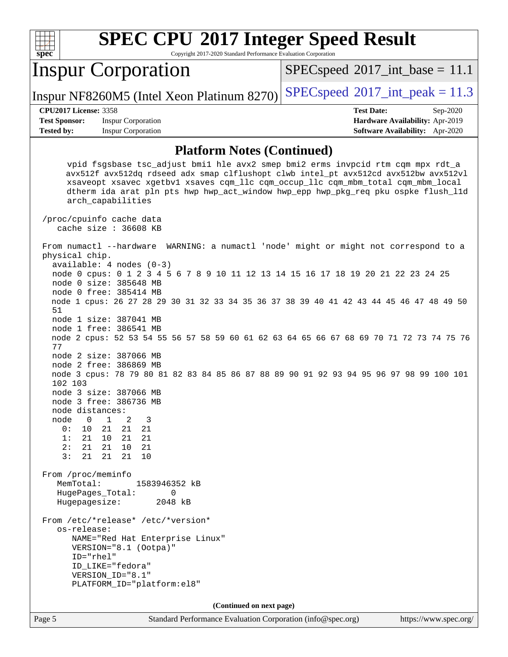

Copyright 2017-2020 Standard Performance Evaluation Corporation

## Inspur Corporation

 $SPECspeed^{\circ}2017\_int\_base = 11.1$  $SPECspeed^{\circ}2017\_int\_base = 11.1$ 

Inspur NF8260M5 (Intel Xeon Platinum 8270) [SPECspeed](http://www.spec.org/auto/cpu2017/Docs/result-fields.html#SPECspeed2017intpeak)<sup>®</sup>[2017\\_int\\_peak = 1](http://www.spec.org/auto/cpu2017/Docs/result-fields.html#SPECspeed2017intpeak)1.3

**[Test Sponsor:](http://www.spec.org/auto/cpu2017/Docs/result-fields.html#TestSponsor)** Inspur Corporation **[Hardware Availability:](http://www.spec.org/auto/cpu2017/Docs/result-fields.html#HardwareAvailability)** Apr-2019 **[Tested by:](http://www.spec.org/auto/cpu2017/Docs/result-fields.html#Testedby)** Inspur Corporation **[Software Availability:](http://www.spec.org/auto/cpu2017/Docs/result-fields.html#SoftwareAvailability)** Apr-2020

**[CPU2017 License:](http://www.spec.org/auto/cpu2017/Docs/result-fields.html#CPU2017License)** 3358 **[Test Date:](http://www.spec.org/auto/cpu2017/Docs/result-fields.html#TestDate)** Sep-2020

#### **[Platform Notes \(Continued\)](http://www.spec.org/auto/cpu2017/Docs/result-fields.html#PlatformNotes)**

 vpid fsgsbase tsc\_adjust bmi1 hle avx2 smep bmi2 erms invpcid rtm cqm mpx rdt\_a avx512f avx512dq rdseed adx smap clflushopt clwb intel\_pt avx512cd avx512bw avx512vl xsaveopt xsavec xgetbv1 xsaves cqm\_llc cqm\_occup\_llc cqm\_mbm\_total cqm\_mbm\_local dtherm ida arat pln pts hwp hwp\_act\_window hwp\_epp hwp\_pkg\_req pku ospke flush\_l1d arch\_capabilities /proc/cpuinfo cache data cache size : 36608 KB From numactl --hardware WARNING: a numactl 'node' might or might not correspond to a physical chip. available: 4 nodes (0-3) node 0 cpus: 0 1 2 3 4 5 6 7 8 9 10 11 12 13 14 15 16 17 18 19 20 21 22 23 24 25 node 0 size: 385648 MB node 0 free: 385414 MB node 1 cpus: 26 27 28 29 30 31 32 33 34 35 36 37 38 39 40 41 42 43 44 45 46 47 48 49 50 51 node 1 size: 387041 MB node 1 free: 386541 MB node 2 cpus: 52 53 54 55 56 57 58 59 60 61 62 63 64 65 66 67 68 69 70 71 72 73 74 75 76 77 node 2 size: 387066 MB node 2 free: 386869 MB node 3 cpus: 78 79 80 81 82 83 84 85 86 87 88 89 90 91 92 93 94 95 96 97 98 99 100 101 102 103 node 3 size: 387066 MB node 3 free: 386736 MB node distances: node 0 1 2 3 0: 10 21 21 21 1: 21 10 21 21 2: 21 21 10 21 3: 21 21 21 10 From /proc/meminfo MemTotal: 1583946352 kB HugePages\_Total: 0 Hugepagesize: 2048 kB From /etc/\*release\* /etc/\*version\* os-release: NAME="Red Hat Enterprise Linux" VERSION="8.1 (Ootpa)" ID="rhel" ID\_LIKE="fedora" VERSION\_ID="8.1" PLATFORM\_ID="platform:el8" **(Continued on next page)**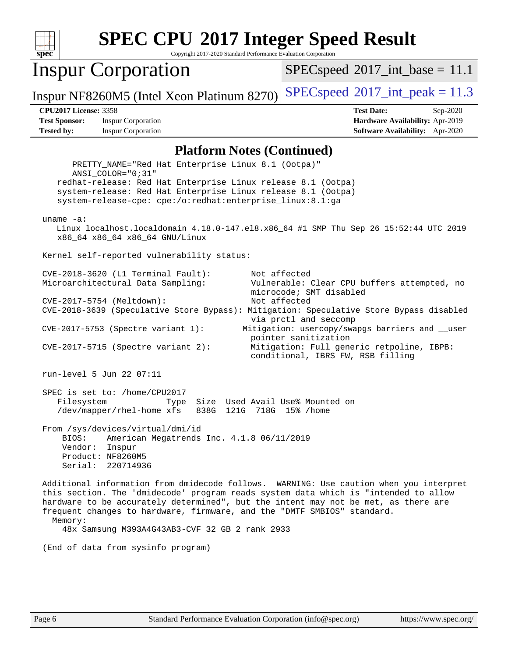

Copyright 2017-2020 Standard Performance Evaluation Corporation

## Inspur Corporation

 $SPECspeed^{\circ}2017\_int\_base = 11.1$  $SPECspeed^{\circ}2017\_int\_base = 11.1$ 

Inspur NF8260M5 (Intel Xeon Platinum 8270) [SPECspeed](http://www.spec.org/auto/cpu2017/Docs/result-fields.html#SPECspeed2017intpeak)<sup>®</sup>[2017\\_int\\_peak = 1](http://www.spec.org/auto/cpu2017/Docs/result-fields.html#SPECspeed2017intpeak)1.3

**[Test Sponsor:](http://www.spec.org/auto/cpu2017/Docs/result-fields.html#TestSponsor)** Inspur Corporation **[Hardware Availability:](http://www.spec.org/auto/cpu2017/Docs/result-fields.html#HardwareAvailability)** Apr-2019 **[Tested by:](http://www.spec.org/auto/cpu2017/Docs/result-fields.html#Testedby)** Inspur Corporation **[Software Availability:](http://www.spec.org/auto/cpu2017/Docs/result-fields.html#SoftwareAvailability)** Apr-2020

**[CPU2017 License:](http://www.spec.org/auto/cpu2017/Docs/result-fields.html#CPU2017License)** 3358 **[Test Date:](http://www.spec.org/auto/cpu2017/Docs/result-fields.html#TestDate)** Sep-2020

#### **[Platform Notes \(Continued\)](http://www.spec.org/auto/cpu2017/Docs/result-fields.html#PlatformNotes)**

```
 PRETTY_NAME="Red Hat Enterprise Linux 8.1 (Ootpa)"
       ANSI_COLOR="0;31"
    redhat-release: Red Hat Enterprise Linux release 8.1 (Ootpa)
    system-release: Red Hat Enterprise Linux release 8.1 (Ootpa)
    system-release-cpe: cpe:/o:redhat:enterprise_linux:8.1:ga
 uname -a:
   Linux localhost.localdomain 4.18.0-147.el8.x86_64 #1 SMP Thu Sep 26 15:52:44 UTC 2019
    x86_64 x86_64 x86_64 GNU/Linux
 Kernel self-reported vulnerability status:
 CVE-2018-3620 (L1 Terminal Fault): Not affected
 Microarchitectural Data Sampling: Vulnerable: Clear CPU buffers attempted, no
                                           microcode; SMT disabled
 CVE-2017-5754 (Meltdown): Not affected
 CVE-2018-3639 (Speculative Store Bypass): Mitigation: Speculative Store Bypass disabled
                                           via prctl and seccomp
 CVE-2017-5753 (Spectre variant 1): Mitigation: usercopy/swapgs barriers and __user
                                          pointer sanitization
 CVE-2017-5715 (Spectre variant 2): Mitigation: Full generic retpoline, IBPB:
                                           conditional, IBRS_FW, RSB filling
 run-level 5 Jun 22 07:11
 SPEC is set to: /home/CPU2017
   Filesystem Type Size Used Avail Use% Mounted on<br>/dev/mapper/rhel-home xfs 838G 121G 718G 15% /home
   /dev/mapper/rhel-home xfs
 From /sys/devices/virtual/dmi/id
    BIOS: American Megatrends Inc. 4.1.8 06/11/2019
     Vendor: Inspur
     Product: NF8260M5
     Serial: 220714936
 Additional information from dmidecode follows. WARNING: Use caution when you interpret
 this section. The 'dmidecode' program reads system data which is "intended to allow
 hardware to be accurately determined", but the intent may not be met, as there are
 frequent changes to hardware, firmware, and the "DMTF SMBIOS" standard.
   Memory:
     48x Samsung M393A4G43AB3-CVF 32 GB 2 rank 2933
 (End of data from sysinfo program)
```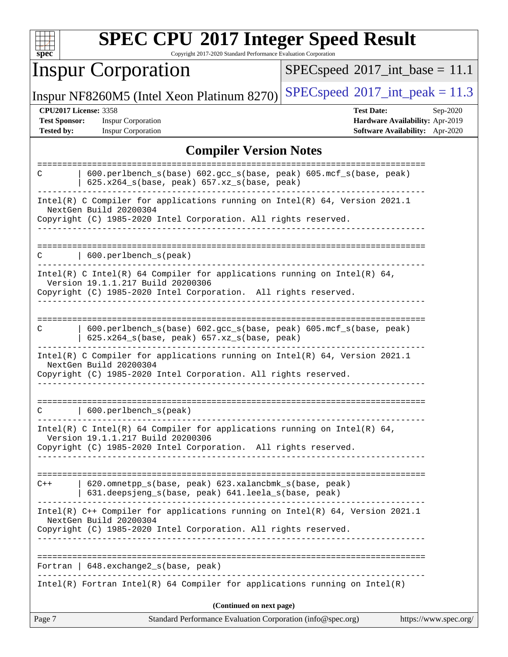| Ľ<br>ш |  |  |  |  |  |  |
|--------|--|--|--|--|--|--|

Copyright 2017-2020 Standard Performance Evaluation Corporation

## Inspur Corporation

 $SPEC speed$ <sup>®</sup> $2017$ \_int\_base = 11.1

Inspur NF8260M5 (Intel Xeon Platinum 8270) [SPECspeed](http://www.spec.org/auto/cpu2017/Docs/result-fields.html#SPECspeed2017intpeak)<sup>®</sup>[2017\\_int\\_peak = 1](http://www.spec.org/auto/cpu2017/Docs/result-fields.html#SPECspeed2017intpeak)1.3

**[CPU2017 License:](http://www.spec.org/auto/cpu2017/Docs/result-fields.html#CPU2017License)** 3358 **[Test Date:](http://www.spec.org/auto/cpu2017/Docs/result-fields.html#TestDate)** Sep-2020 **[Test Sponsor:](http://www.spec.org/auto/cpu2017/Docs/result-fields.html#TestSponsor)** Inspur Corporation **[Hardware Availability:](http://www.spec.org/auto/cpu2017/Docs/result-fields.html#HardwareAvailability)** Apr-2019 **[Tested by:](http://www.spec.org/auto/cpu2017/Docs/result-fields.html#Testedby)** Inspur Corporation **[Software Availability:](http://www.spec.org/auto/cpu2017/Docs/result-fields.html#SoftwareAvailability)** Apr-2020

### **[Compiler Version Notes](http://www.spec.org/auto/cpu2017/Docs/result-fields.html#CompilerVersionNotes)**

| Page 7 | Standard Performance Evaluation Corporation (info@spec.org)                                                                                                                      | https://www.spec.org/ |
|--------|----------------------------------------------------------------------------------------------------------------------------------------------------------------------------------|-----------------------|
|        | (Continued on next page)                                                                                                                                                         |                       |
|        | $Intel(R)$ Fortran Intel(R) 64 Compiler for applications running on Intel(R)                                                                                                     |                       |
|        | Fortran   $648$ . exchange $2_s$ (base, peak)                                                                                                                                    |                       |
|        | Intel(R) C++ Compiler for applications running on $Intel(R) 64$ , Version 2021.1<br>NextGen Build 20200304<br>Copyright (C) 1985-2020 Intel Corporation. All rights reserved.    |                       |
| $C++$  | 620.omnetpp_s(base, peak) 623.xalancbmk_s(base, peak)<br>631.deepsjeng_s(base, peak) 641.leela_s(base, peak)                                                                     |                       |
|        | Intel(R) C Intel(R) 64 Compiler for applications running on Intel(R) 64,<br>Version 19.1.1.217 Build 20200306<br>Copyright (C) 1985-2020 Intel Corporation. All rights reserved. |                       |
| C      | 600.perlbench_s(peak)                                                                                                                                                            |                       |
|        | Intel(R) C Compiler for applications running on $Intel(R) 64$ , Version 2021.1<br>NextGen Build 20200304<br>Copyright (C) 1985-2020 Intel Corporation. All rights reserved.      |                       |
| C      | 600.perlbench_s(base) 602.gcc_s(base, peak) 605.mcf_s(base, peak)<br>$625.x264_s(base, peak)$ 657.xz <sub>_S</sub> (base, peak)                                                  |                       |
|        | Intel(R) C Intel(R) 64 Compiler for applications running on Intel(R) 64,<br>Version 19.1.1.217 Build 20200306<br>Copyright (C) 1985-2020 Intel Corporation. All rights reserved. |                       |
|        | 600.perlbench_s(peak)<br>_____________________________                                                                                                                           |                       |
|        | NextGen Build 20200304<br>Copyright (C) 1985-2020 Intel Corporation. All rights reserved.                                                                                        |                       |
|        | Intel(R) C Compiler for applications running on $Intel(R) 64$ , Version 2021.1                                                                                                   |                       |
| С      | 600.perlbench_s(base) 602.gcc_s(base, peak) 605.mcf_s(base, peak)<br>625.x264_s(base, peak) 657.xz_s(base, peak)                                                                 |                       |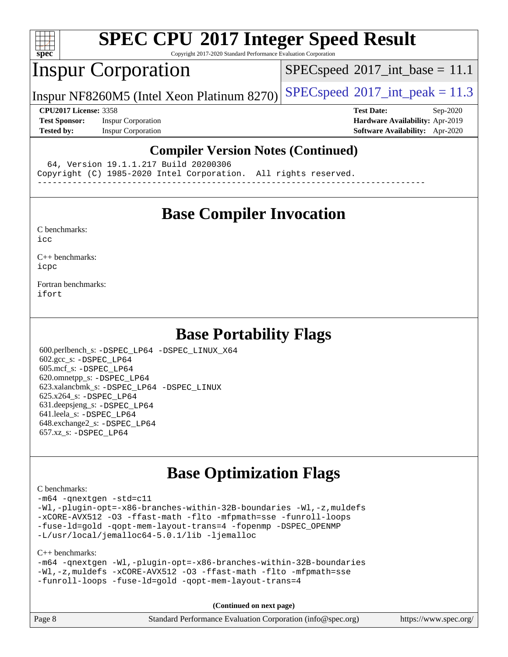

Copyright 2017-2020 Standard Performance Evaluation Corporation

## Inspur Corporation

 $SPECspeed^{\circ}2017\_int\_base = 11.1$  $SPECspeed^{\circ}2017\_int\_base = 11.1$ 

Inspur NF8260M5 (Intel Xeon Platinum 8270) [SPECspeed](http://www.spec.org/auto/cpu2017/Docs/result-fields.html#SPECspeed2017intpeak)<sup>®</sup>[2017\\_int\\_peak = 1](http://www.spec.org/auto/cpu2017/Docs/result-fields.html#SPECspeed2017intpeak)1.3

**[Test Sponsor:](http://www.spec.org/auto/cpu2017/Docs/result-fields.html#TestSponsor)** Inspur Corporation **[Hardware Availability:](http://www.spec.org/auto/cpu2017/Docs/result-fields.html#HardwareAvailability)** Apr-2019

**[CPU2017 License:](http://www.spec.org/auto/cpu2017/Docs/result-fields.html#CPU2017License)** 3358 **[Test Date:](http://www.spec.org/auto/cpu2017/Docs/result-fields.html#TestDate)** Sep-2020 **[Tested by:](http://www.spec.org/auto/cpu2017/Docs/result-fields.html#Testedby)** Inspur Corporation **[Software Availability:](http://www.spec.org/auto/cpu2017/Docs/result-fields.html#SoftwareAvailability)** Apr-2020

#### **[Compiler Version Notes \(Continued\)](http://www.spec.org/auto/cpu2017/Docs/result-fields.html#CompilerVersionNotes)**

64, Version 19.1.1.217 Build 20200306

Copyright (C) 1985-2020 Intel Corporation. All rights reserved.

------------------------------------------------------------------------------

### **[Base Compiler Invocation](http://www.spec.org/auto/cpu2017/Docs/result-fields.html#BaseCompilerInvocation)**

[C benchmarks](http://www.spec.org/auto/cpu2017/Docs/result-fields.html#Cbenchmarks):

[icc](http://www.spec.org/cpu2017/results/res2020q4/cpu2017-20200928-24045.flags.html#user_CCbase_intel_icc_66fc1ee009f7361af1fbd72ca7dcefbb700085f36577c54f309893dd4ec40d12360134090235512931783d35fd58c0460139e722d5067c5574d8eaf2b3e37e92)

[C++ benchmarks:](http://www.spec.org/auto/cpu2017/Docs/result-fields.html#CXXbenchmarks) [icpc](http://www.spec.org/cpu2017/results/res2020q4/cpu2017-20200928-24045.flags.html#user_CXXbase_intel_icpc_c510b6838c7f56d33e37e94d029a35b4a7bccf4766a728ee175e80a419847e808290a9b78be685c44ab727ea267ec2f070ec5dc83b407c0218cded6866a35d07)

[Fortran benchmarks](http://www.spec.org/auto/cpu2017/Docs/result-fields.html#Fortranbenchmarks): [ifort](http://www.spec.org/cpu2017/results/res2020q4/cpu2017-20200928-24045.flags.html#user_FCbase_intel_ifort_8111460550e3ca792625aed983ce982f94888b8b503583aa7ba2b8303487b4d8a21a13e7191a45c5fd58ff318f48f9492884d4413fa793fd88dd292cad7027ca)

### **[Base Portability Flags](http://www.spec.org/auto/cpu2017/Docs/result-fields.html#BasePortabilityFlags)**

 600.perlbench\_s: [-DSPEC\\_LP64](http://www.spec.org/cpu2017/results/res2020q4/cpu2017-20200928-24045.flags.html#b600.perlbench_s_basePORTABILITY_DSPEC_LP64) [-DSPEC\\_LINUX\\_X64](http://www.spec.org/cpu2017/results/res2020q4/cpu2017-20200928-24045.flags.html#b600.perlbench_s_baseCPORTABILITY_DSPEC_LINUX_X64) 602.gcc\_s: [-DSPEC\\_LP64](http://www.spec.org/cpu2017/results/res2020q4/cpu2017-20200928-24045.flags.html#suite_basePORTABILITY602_gcc_s_DSPEC_LP64) 605.mcf\_s: [-DSPEC\\_LP64](http://www.spec.org/cpu2017/results/res2020q4/cpu2017-20200928-24045.flags.html#suite_basePORTABILITY605_mcf_s_DSPEC_LP64) 620.omnetpp\_s: [-DSPEC\\_LP64](http://www.spec.org/cpu2017/results/res2020q4/cpu2017-20200928-24045.flags.html#suite_basePORTABILITY620_omnetpp_s_DSPEC_LP64) 623.xalancbmk\_s: [-DSPEC\\_LP64](http://www.spec.org/cpu2017/results/res2020q4/cpu2017-20200928-24045.flags.html#suite_basePORTABILITY623_xalancbmk_s_DSPEC_LP64) [-DSPEC\\_LINUX](http://www.spec.org/cpu2017/results/res2020q4/cpu2017-20200928-24045.flags.html#b623.xalancbmk_s_baseCXXPORTABILITY_DSPEC_LINUX) 625.x264\_s: [-DSPEC\\_LP64](http://www.spec.org/cpu2017/results/res2020q4/cpu2017-20200928-24045.flags.html#suite_basePORTABILITY625_x264_s_DSPEC_LP64) 631.deepsjeng\_s: [-DSPEC\\_LP64](http://www.spec.org/cpu2017/results/res2020q4/cpu2017-20200928-24045.flags.html#suite_basePORTABILITY631_deepsjeng_s_DSPEC_LP64) 641.leela\_s: [-DSPEC\\_LP64](http://www.spec.org/cpu2017/results/res2020q4/cpu2017-20200928-24045.flags.html#suite_basePORTABILITY641_leela_s_DSPEC_LP64) 648.exchange2\_s: [-DSPEC\\_LP64](http://www.spec.org/cpu2017/results/res2020q4/cpu2017-20200928-24045.flags.html#suite_basePORTABILITY648_exchange2_s_DSPEC_LP64) 657.xz\_s: [-DSPEC\\_LP64](http://www.spec.org/cpu2017/results/res2020q4/cpu2017-20200928-24045.flags.html#suite_basePORTABILITY657_xz_s_DSPEC_LP64)

## **[Base Optimization Flags](http://www.spec.org/auto/cpu2017/Docs/result-fields.html#BaseOptimizationFlags)**

[C benchmarks](http://www.spec.org/auto/cpu2017/Docs/result-fields.html#Cbenchmarks):

[-m64](http://www.spec.org/cpu2017/results/res2020q4/cpu2017-20200928-24045.flags.html#user_CCbase_m64-icc) [-qnextgen](http://www.spec.org/cpu2017/results/res2020q4/cpu2017-20200928-24045.flags.html#user_CCbase_f-qnextgen) [-std=c11](http://www.spec.org/cpu2017/results/res2020q4/cpu2017-20200928-24045.flags.html#user_CCbase_std-icc-std_0e1c27790398a4642dfca32ffe6c27b5796f9c2d2676156f2e42c9c44eaad0c049b1cdb667a270c34d979996257aeb8fc440bfb01818dbc9357bd9d174cb8524) [-Wl,-plugin-opt=-x86-branches-within-32B-boundaries](http://www.spec.org/cpu2017/results/res2020q4/cpu2017-20200928-24045.flags.html#user_CCbase_f-x86-branches-within-32B-boundaries_0098b4e4317ae60947b7b728078a624952a08ac37a3c797dfb4ffeb399e0c61a9dd0f2f44ce917e9361fb9076ccb15e7824594512dd315205382d84209e912f3) [-Wl,-z,muldefs](http://www.spec.org/cpu2017/results/res2020q4/cpu2017-20200928-24045.flags.html#user_CCbase_link_force_multiple1_b4cbdb97b34bdee9ceefcfe54f4c8ea74255f0b02a4b23e853cdb0e18eb4525ac79b5a88067c842dd0ee6996c24547a27a4b99331201badda8798ef8a743f577) [-xCORE-AVX512](http://www.spec.org/cpu2017/results/res2020q4/cpu2017-20200928-24045.flags.html#user_CCbase_f-xCORE-AVX512) [-O3](http://www.spec.org/cpu2017/results/res2020q4/cpu2017-20200928-24045.flags.html#user_CCbase_f-O3) [-ffast-math](http://www.spec.org/cpu2017/results/res2020q4/cpu2017-20200928-24045.flags.html#user_CCbase_f-ffast-math) [-flto](http://www.spec.org/cpu2017/results/res2020q4/cpu2017-20200928-24045.flags.html#user_CCbase_f-flto) [-mfpmath=sse](http://www.spec.org/cpu2017/results/res2020q4/cpu2017-20200928-24045.flags.html#user_CCbase_f-mfpmath_70eb8fac26bde974f8ab713bc9086c5621c0b8d2f6c86f38af0bd7062540daf19db5f3a066d8c6684be05d84c9b6322eb3b5be6619d967835195b93d6c02afa1) [-funroll-loops](http://www.spec.org/cpu2017/results/res2020q4/cpu2017-20200928-24045.flags.html#user_CCbase_f-funroll-loops) [-fuse-ld=gold](http://www.spec.org/cpu2017/results/res2020q4/cpu2017-20200928-24045.flags.html#user_CCbase_f-fuse-ld_920b3586e2b8c6e0748b9c84fa9b744736ba725a32cab14ad8f3d4ad28eecb2f59d1144823d2e17006539a88734fe1fc08fc3035f7676166309105a78aaabc32) [-qopt-mem-layout-trans=4](http://www.spec.org/cpu2017/results/res2020q4/cpu2017-20200928-24045.flags.html#user_CCbase_f-qopt-mem-layout-trans_fa39e755916c150a61361b7846f310bcdf6f04e385ef281cadf3647acec3f0ae266d1a1d22d972a7087a248fd4e6ca390a3634700869573d231a252c784941a8) [-fopenmp](http://www.spec.org/cpu2017/results/res2020q4/cpu2017-20200928-24045.flags.html#user_CCbase_fopenmp_5aa2e47ce4f2ef030ba5d12d5a7a9c4e57167333d78243fcadb80b48d5abb78ff19333f8478e0b2a41e63049eb285965c145ccab7b93db7d0c4d59e4dc6f5591) [-DSPEC\\_OPENMP](http://www.spec.org/cpu2017/results/res2020q4/cpu2017-20200928-24045.flags.html#suite_CCbase_DSPEC_OPENMP) [-L/usr/local/jemalloc64-5.0.1/lib](http://www.spec.org/cpu2017/results/res2020q4/cpu2017-20200928-24045.flags.html#user_CCbase_jemalloc_link_path64_1_cc289568b1a6c0fd3b62c91b824c27fcb5af5e8098e6ad028160d21144ef1b8aef3170d2acf0bee98a8da324cfe4f67d0a3d0c4cc4673d993d694dc2a0df248b) [-ljemalloc](http://www.spec.org/cpu2017/results/res2020q4/cpu2017-20200928-24045.flags.html#user_CCbase_jemalloc_link_lib_d1249b907c500fa1c0672f44f562e3d0f79738ae9e3c4a9c376d49f265a04b9c99b167ecedbf6711b3085be911c67ff61f150a17b3472be731631ba4d0471706)

#### [C++ benchmarks:](http://www.spec.org/auto/cpu2017/Docs/result-fields.html#CXXbenchmarks)

[-m64](http://www.spec.org/cpu2017/results/res2020q4/cpu2017-20200928-24045.flags.html#user_CXXbase_m64-icc) [-qnextgen](http://www.spec.org/cpu2017/results/res2020q4/cpu2017-20200928-24045.flags.html#user_CXXbase_f-qnextgen) [-Wl,-plugin-opt=-x86-branches-within-32B-boundaries](http://www.spec.org/cpu2017/results/res2020q4/cpu2017-20200928-24045.flags.html#user_CXXbase_f-x86-branches-within-32B-boundaries_0098b4e4317ae60947b7b728078a624952a08ac37a3c797dfb4ffeb399e0c61a9dd0f2f44ce917e9361fb9076ccb15e7824594512dd315205382d84209e912f3) [-Wl,-z,muldefs](http://www.spec.org/cpu2017/results/res2020q4/cpu2017-20200928-24045.flags.html#user_CXXbase_link_force_multiple1_b4cbdb97b34bdee9ceefcfe54f4c8ea74255f0b02a4b23e853cdb0e18eb4525ac79b5a88067c842dd0ee6996c24547a27a4b99331201badda8798ef8a743f577) [-xCORE-AVX512](http://www.spec.org/cpu2017/results/res2020q4/cpu2017-20200928-24045.flags.html#user_CXXbase_f-xCORE-AVX512) [-O3](http://www.spec.org/cpu2017/results/res2020q4/cpu2017-20200928-24045.flags.html#user_CXXbase_f-O3) [-ffast-math](http://www.spec.org/cpu2017/results/res2020q4/cpu2017-20200928-24045.flags.html#user_CXXbase_f-ffast-math) [-flto](http://www.spec.org/cpu2017/results/res2020q4/cpu2017-20200928-24045.flags.html#user_CXXbase_f-flto) [-mfpmath=sse](http://www.spec.org/cpu2017/results/res2020q4/cpu2017-20200928-24045.flags.html#user_CXXbase_f-mfpmath_70eb8fac26bde974f8ab713bc9086c5621c0b8d2f6c86f38af0bd7062540daf19db5f3a066d8c6684be05d84c9b6322eb3b5be6619d967835195b93d6c02afa1) [-funroll-loops](http://www.spec.org/cpu2017/results/res2020q4/cpu2017-20200928-24045.flags.html#user_CXXbase_f-funroll-loops) [-fuse-ld=gold](http://www.spec.org/cpu2017/results/res2020q4/cpu2017-20200928-24045.flags.html#user_CXXbase_f-fuse-ld_920b3586e2b8c6e0748b9c84fa9b744736ba725a32cab14ad8f3d4ad28eecb2f59d1144823d2e17006539a88734fe1fc08fc3035f7676166309105a78aaabc32) [-qopt-mem-layout-trans=4](http://www.spec.org/cpu2017/results/res2020q4/cpu2017-20200928-24045.flags.html#user_CXXbase_f-qopt-mem-layout-trans_fa39e755916c150a61361b7846f310bcdf6f04e385ef281cadf3647acec3f0ae266d1a1d22d972a7087a248fd4e6ca390a3634700869573d231a252c784941a8)

**(Continued on next page)**

| Page 8 | Standard Performance Evaluation Corporation (info@spec.org) | https://www.spec.org/ |
|--------|-------------------------------------------------------------|-----------------------|
|--------|-------------------------------------------------------------|-----------------------|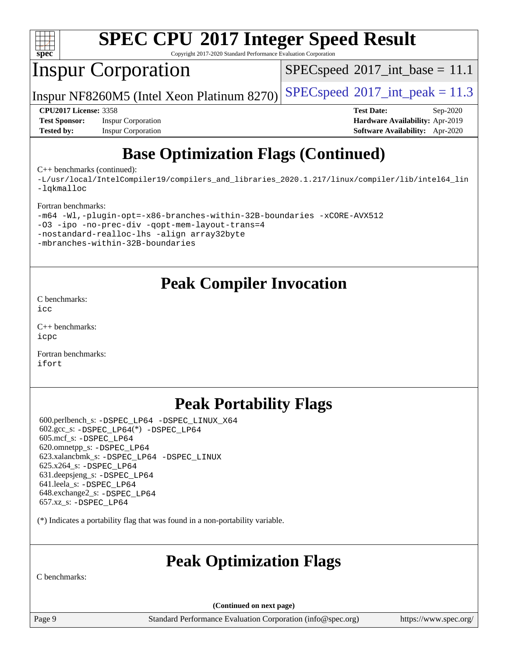

Copyright 2017-2020 Standard Performance Evaluation Corporation

## Inspur Corporation

 $SPECspeed^{\circ}2017\_int\_base = 11.1$  $SPECspeed^{\circ}2017\_int\_base = 11.1$ 

Inspur NF8260M5 (Intel Xeon Platinum 8270) [SPECspeed](http://www.spec.org/auto/cpu2017/Docs/result-fields.html#SPECspeed2017intpeak)<sup>®</sup>[2017\\_int\\_peak = 1](http://www.spec.org/auto/cpu2017/Docs/result-fields.html#SPECspeed2017intpeak)1.3

**[Test Sponsor:](http://www.spec.org/auto/cpu2017/Docs/result-fields.html#TestSponsor)** Inspur Corporation **[Hardware Availability:](http://www.spec.org/auto/cpu2017/Docs/result-fields.html#HardwareAvailability)** Apr-2019 **[Tested by:](http://www.spec.org/auto/cpu2017/Docs/result-fields.html#Testedby)** Inspur Corporation **[Software Availability:](http://www.spec.org/auto/cpu2017/Docs/result-fields.html#SoftwareAvailability)** Apr-2020

**[CPU2017 License:](http://www.spec.org/auto/cpu2017/Docs/result-fields.html#CPU2017License)** 3358 **[Test Date:](http://www.spec.org/auto/cpu2017/Docs/result-fields.html#TestDate)** Sep-2020

## **[Base Optimization Flags \(Continued\)](http://www.spec.org/auto/cpu2017/Docs/result-fields.html#BaseOptimizationFlags)**

[C++ benchmarks](http://www.spec.org/auto/cpu2017/Docs/result-fields.html#CXXbenchmarks) (continued):

[-L/usr/local/IntelCompiler19/compilers\\_and\\_libraries\\_2020.1.217/linux/compiler/lib/intel64\\_lin](http://www.spec.org/cpu2017/results/res2020q4/cpu2017-20200928-24045.flags.html#user_CXXbase_linkpath_2cb6f503891ebf8baee7515f4e7d4ec1217444d1d05903cc0091ac4158de400651d2b2313a9fa414cb8a8f0e16ab029634f5c6db340f400369c190d4db8a54a0) [-lqkmalloc](http://www.spec.org/cpu2017/results/res2020q4/cpu2017-20200928-24045.flags.html#user_CXXbase_qkmalloc_link_lib_79a818439969f771c6bc311cfd333c00fc099dad35c030f5aab9dda831713d2015205805422f83de8875488a2991c0a156aaa600e1f9138f8fc37004abc96dc5)

#### [Fortran benchmarks:](http://www.spec.org/auto/cpu2017/Docs/result-fields.html#Fortranbenchmarks)

| -m64 -Wl,-plugin-opt=-x86-branches-within-32B-boundaries -xCORE-AVX512 |  |  |  |  |  |  |
|------------------------------------------------------------------------|--|--|--|--|--|--|
| -03 -ipo -no-prec-div -gopt-mem-layout-trans=4                         |  |  |  |  |  |  |
| -nostandard-realloc-lhs -align array32byte                             |  |  |  |  |  |  |
| -mbranches-within-32B-boundaries                                       |  |  |  |  |  |  |

## **[Peak Compiler Invocation](http://www.spec.org/auto/cpu2017/Docs/result-fields.html#PeakCompilerInvocation)**

[C benchmarks](http://www.spec.org/auto/cpu2017/Docs/result-fields.html#Cbenchmarks): [icc](http://www.spec.org/cpu2017/results/res2020q4/cpu2017-20200928-24045.flags.html#user_CCpeak_intel_icc_66fc1ee009f7361af1fbd72ca7dcefbb700085f36577c54f309893dd4ec40d12360134090235512931783d35fd58c0460139e722d5067c5574d8eaf2b3e37e92)

[C++ benchmarks:](http://www.spec.org/auto/cpu2017/Docs/result-fields.html#CXXbenchmarks) [icpc](http://www.spec.org/cpu2017/results/res2020q4/cpu2017-20200928-24045.flags.html#user_CXXpeak_intel_icpc_c510b6838c7f56d33e37e94d029a35b4a7bccf4766a728ee175e80a419847e808290a9b78be685c44ab727ea267ec2f070ec5dc83b407c0218cded6866a35d07)

[Fortran benchmarks](http://www.spec.org/auto/cpu2017/Docs/result-fields.html#Fortranbenchmarks): [ifort](http://www.spec.org/cpu2017/results/res2020q4/cpu2017-20200928-24045.flags.html#user_FCpeak_intel_ifort_8111460550e3ca792625aed983ce982f94888b8b503583aa7ba2b8303487b4d8a21a13e7191a45c5fd58ff318f48f9492884d4413fa793fd88dd292cad7027ca)

## **[Peak Portability Flags](http://www.spec.org/auto/cpu2017/Docs/result-fields.html#PeakPortabilityFlags)**

 600.perlbench\_s: [-DSPEC\\_LP64](http://www.spec.org/cpu2017/results/res2020q4/cpu2017-20200928-24045.flags.html#b600.perlbench_s_peakPORTABILITY_DSPEC_LP64) [-DSPEC\\_LINUX\\_X64](http://www.spec.org/cpu2017/results/res2020q4/cpu2017-20200928-24045.flags.html#b600.perlbench_s_peakCPORTABILITY_DSPEC_LINUX_X64)  $602.\text{gcc}\$ : -DSPEC LP64(\*) -DSPEC LP64 605.mcf\_s: [-DSPEC\\_LP64](http://www.spec.org/cpu2017/results/res2020q4/cpu2017-20200928-24045.flags.html#suite_peakPORTABILITY605_mcf_s_DSPEC_LP64) 620.omnetpp\_s: [-DSPEC\\_LP64](http://www.spec.org/cpu2017/results/res2020q4/cpu2017-20200928-24045.flags.html#suite_peakPORTABILITY620_omnetpp_s_DSPEC_LP64) 623.xalancbmk\_s: [-DSPEC\\_LP64](http://www.spec.org/cpu2017/results/res2020q4/cpu2017-20200928-24045.flags.html#suite_peakPORTABILITY623_xalancbmk_s_DSPEC_LP64) [-DSPEC\\_LINUX](http://www.spec.org/cpu2017/results/res2020q4/cpu2017-20200928-24045.flags.html#b623.xalancbmk_s_peakCXXPORTABILITY_DSPEC_LINUX) 625.x264\_s: [-DSPEC\\_LP64](http://www.spec.org/cpu2017/results/res2020q4/cpu2017-20200928-24045.flags.html#suite_peakPORTABILITY625_x264_s_DSPEC_LP64) 631.deepsjeng\_s: [-DSPEC\\_LP64](http://www.spec.org/cpu2017/results/res2020q4/cpu2017-20200928-24045.flags.html#suite_peakPORTABILITY631_deepsjeng_s_DSPEC_LP64) 641.leela\_s: [-DSPEC\\_LP64](http://www.spec.org/cpu2017/results/res2020q4/cpu2017-20200928-24045.flags.html#suite_peakPORTABILITY641_leela_s_DSPEC_LP64) 648.exchange2\_s: [-DSPEC\\_LP64](http://www.spec.org/cpu2017/results/res2020q4/cpu2017-20200928-24045.flags.html#suite_peakPORTABILITY648_exchange2_s_DSPEC_LP64) 657.xz\_s: [-DSPEC\\_LP64](http://www.spec.org/cpu2017/results/res2020q4/cpu2017-20200928-24045.flags.html#suite_peakPORTABILITY657_xz_s_DSPEC_LP64)

(\*) Indicates a portability flag that was found in a non-portability variable.

## **[Peak Optimization Flags](http://www.spec.org/auto/cpu2017/Docs/result-fields.html#PeakOptimizationFlags)**

[C benchmarks:](http://www.spec.org/auto/cpu2017/Docs/result-fields.html#Cbenchmarks)

**(Continued on next page)**

Page 9 Standard Performance Evaluation Corporation [\(info@spec.org\)](mailto:info@spec.org) <https://www.spec.org/>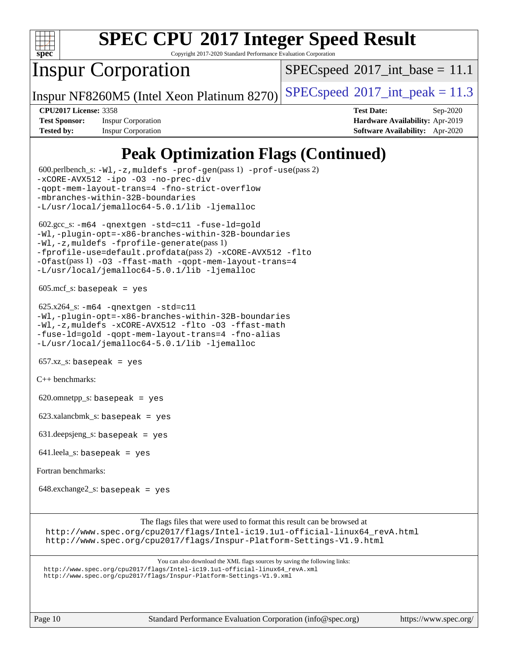

Copyright 2017-2020 Standard Performance Evaluation Corporation

## Inspur Corporation

 $SPECspeed^{\circ}2017\_int\_base = 11.1$  $SPECspeed^{\circ}2017\_int\_base = 11.1$ 

Inspur NF8260M5 (Intel Xeon Platinum 8270) [SPECspeed](http://www.spec.org/auto/cpu2017/Docs/result-fields.html#SPECspeed2017intpeak)<sup>®</sup>[2017\\_int\\_peak = 1](http://www.spec.org/auto/cpu2017/Docs/result-fields.html#SPECspeed2017intpeak)1.3

**[Test Sponsor:](http://www.spec.org/auto/cpu2017/Docs/result-fields.html#TestSponsor)** Inspur Corporation **[Hardware Availability:](http://www.spec.org/auto/cpu2017/Docs/result-fields.html#HardwareAvailability)** Apr-2019 **[Tested by:](http://www.spec.org/auto/cpu2017/Docs/result-fields.html#Testedby)** Inspur Corporation **[Software Availability:](http://www.spec.org/auto/cpu2017/Docs/result-fields.html#SoftwareAvailability)** Apr-2020

**[CPU2017 License:](http://www.spec.org/auto/cpu2017/Docs/result-fields.html#CPU2017License)** 3358 **[Test Date:](http://www.spec.org/auto/cpu2017/Docs/result-fields.html#TestDate)** Sep-2020

## **[Peak Optimization Flags \(Continued\)](http://www.spec.org/auto/cpu2017/Docs/result-fields.html#PeakOptimizationFlags)**

 600.perlbench\_s: [-Wl,-z,muldefs](http://www.spec.org/cpu2017/results/res2020q4/cpu2017-20200928-24045.flags.html#user_peakEXTRA_LDFLAGS600_perlbench_s_link_force_multiple1_b4cbdb97b34bdee9ceefcfe54f4c8ea74255f0b02a4b23e853cdb0e18eb4525ac79b5a88067c842dd0ee6996c24547a27a4b99331201badda8798ef8a743f577) [-prof-gen](http://www.spec.org/cpu2017/results/res2020q4/cpu2017-20200928-24045.flags.html#user_peakPASS1_CFLAGSPASS1_LDFLAGS600_perlbench_s_prof_gen_5aa4926d6013ddb2a31985c654b3eb18169fc0c6952a63635c234f711e6e63dd76e94ad52365559451ec499a2cdb89e4dc58ba4c67ef54ca681ffbe1461d6b36)(pass 1) [-prof-use](http://www.spec.org/cpu2017/results/res2020q4/cpu2017-20200928-24045.flags.html#user_peakPASS2_CFLAGSPASS2_LDFLAGS600_perlbench_s_prof_use_1a21ceae95f36a2b53c25747139a6c16ca95bd9def2a207b4f0849963b97e94f5260e30a0c64f4bb623698870e679ca08317ef8150905d41bd88c6f78df73f19)(pass 2) [-xCORE-AVX512](http://www.spec.org/cpu2017/results/res2020q4/cpu2017-20200928-24045.flags.html#user_peakCOPTIMIZE600_perlbench_s_f-xCORE-AVX512) [-ipo](http://www.spec.org/cpu2017/results/res2020q4/cpu2017-20200928-24045.flags.html#user_peakCOPTIMIZE600_perlbench_s_f-ipo) -03 [-no-prec-div](http://www.spec.org/cpu2017/results/res2020q4/cpu2017-20200928-24045.flags.html#user_peakCOPTIMIZE600_perlbench_s_f-no-prec-div) [-qopt-mem-layout-trans=4](http://www.spec.org/cpu2017/results/res2020q4/cpu2017-20200928-24045.flags.html#user_peakCOPTIMIZE600_perlbench_s_f-qopt-mem-layout-trans_fa39e755916c150a61361b7846f310bcdf6f04e385ef281cadf3647acec3f0ae266d1a1d22d972a7087a248fd4e6ca390a3634700869573d231a252c784941a8) [-fno-strict-overflow](http://www.spec.org/cpu2017/results/res2020q4/cpu2017-20200928-24045.flags.html#user_peakEXTRA_OPTIMIZE600_perlbench_s_f-fno-strict-overflow) [-mbranches-within-32B-boundaries](http://www.spec.org/cpu2017/results/res2020q4/cpu2017-20200928-24045.flags.html#user_peakEXTRA_COPTIMIZE600_perlbench_s_f-mbranches-within-32B-boundaries) [-L/usr/local/jemalloc64-5.0.1/lib](http://www.spec.org/cpu2017/results/res2020q4/cpu2017-20200928-24045.flags.html#user_peakEXTRA_LIBS600_perlbench_s_jemalloc_link_path64_1_cc289568b1a6c0fd3b62c91b824c27fcb5af5e8098e6ad028160d21144ef1b8aef3170d2acf0bee98a8da324cfe4f67d0a3d0c4cc4673d993d694dc2a0df248b) [-ljemalloc](http://www.spec.org/cpu2017/results/res2020q4/cpu2017-20200928-24045.flags.html#user_peakEXTRA_LIBS600_perlbench_s_jemalloc_link_lib_d1249b907c500fa1c0672f44f562e3d0f79738ae9e3c4a9c376d49f265a04b9c99b167ecedbf6711b3085be911c67ff61f150a17b3472be731631ba4d0471706) 602.gcc\_s: [-m64](http://www.spec.org/cpu2017/results/res2020q4/cpu2017-20200928-24045.flags.html#user_peakCCLD602_gcc_s_m64-icc) [-qnextgen](http://www.spec.org/cpu2017/results/res2020q4/cpu2017-20200928-24045.flags.html#user_peakCCLD602_gcc_s_f-qnextgen) [-std=c11](http://www.spec.org/cpu2017/results/res2020q4/cpu2017-20200928-24045.flags.html#user_peakCCLD602_gcc_s_std-icc-std_0e1c27790398a4642dfca32ffe6c27b5796f9c2d2676156f2e42c9c44eaad0c049b1cdb667a270c34d979996257aeb8fc440bfb01818dbc9357bd9d174cb8524) [-fuse-ld=gold](http://www.spec.org/cpu2017/results/res2020q4/cpu2017-20200928-24045.flags.html#user_peakCCLD602_gcc_s_f-fuse-ld_920b3586e2b8c6e0748b9c84fa9b744736ba725a32cab14ad8f3d4ad28eecb2f59d1144823d2e17006539a88734fe1fc08fc3035f7676166309105a78aaabc32) [-Wl,-plugin-opt=-x86-branches-within-32B-boundaries](http://www.spec.org/cpu2017/results/res2020q4/cpu2017-20200928-24045.flags.html#user_peakLDFLAGS602_gcc_s_f-x86-branches-within-32B-boundaries_0098b4e4317ae60947b7b728078a624952a08ac37a3c797dfb4ffeb399e0c61a9dd0f2f44ce917e9361fb9076ccb15e7824594512dd315205382d84209e912f3) [-Wl,-z,muldefs](http://www.spec.org/cpu2017/results/res2020q4/cpu2017-20200928-24045.flags.html#user_peakEXTRA_LDFLAGS602_gcc_s_link_force_multiple1_b4cbdb97b34bdee9ceefcfe54f4c8ea74255f0b02a4b23e853cdb0e18eb4525ac79b5a88067c842dd0ee6996c24547a27a4b99331201badda8798ef8a743f577) [-fprofile-generate](http://www.spec.org/cpu2017/results/res2020q4/cpu2017-20200928-24045.flags.html#user_peakPASS1_CFLAGSPASS1_LDFLAGS602_gcc_s_fprofile-generate)(pass 1) [-fprofile-use=default.profdata](http://www.spec.org/cpu2017/results/res2020q4/cpu2017-20200928-24045.flags.html#user_peakPASS2_CFLAGSPASS2_LDFLAGS602_gcc_s_fprofile-use_56aeee182b92ec249f9670f17c9b8e7d83fe2d25538e35a2cf64c434b579a2235a8b8fc66ef5678d24461366bbab9d486c870d8a72905233fc08e43eefe3cd80)(pass 2) [-xCORE-AVX512](http://www.spec.org/cpu2017/results/res2020q4/cpu2017-20200928-24045.flags.html#user_peakCOPTIMIZEPASS1_CFLAGSPASS1_LDFLAGS602_gcc_s_f-xCORE-AVX512) [-flto](http://www.spec.org/cpu2017/results/res2020q4/cpu2017-20200928-24045.flags.html#user_peakCOPTIMIZEPASS1_CFLAGSPASS1_LDFLAGS602_gcc_s_f-flto) [-Ofast](http://www.spec.org/cpu2017/results/res2020q4/cpu2017-20200928-24045.flags.html#user_peakPASS1_CFLAGSPASS1_LDFLAGS602_gcc_s_f-Ofast)(pass 1) [-O3](http://www.spec.org/cpu2017/results/res2020q4/cpu2017-20200928-24045.flags.html#user_peakCOPTIMIZE602_gcc_s_f-O3) [-ffast-math](http://www.spec.org/cpu2017/results/res2020q4/cpu2017-20200928-24045.flags.html#user_peakCOPTIMIZE602_gcc_s_f-ffast-math) [-qopt-mem-layout-trans=4](http://www.spec.org/cpu2017/results/res2020q4/cpu2017-20200928-24045.flags.html#user_peakCOPTIMIZE602_gcc_s_f-qopt-mem-layout-trans_fa39e755916c150a61361b7846f310bcdf6f04e385ef281cadf3647acec3f0ae266d1a1d22d972a7087a248fd4e6ca390a3634700869573d231a252c784941a8) [-L/usr/local/jemalloc64-5.0.1/lib](http://www.spec.org/cpu2017/results/res2020q4/cpu2017-20200928-24045.flags.html#user_peakEXTRA_LIBS602_gcc_s_jemalloc_link_path64_1_cc289568b1a6c0fd3b62c91b824c27fcb5af5e8098e6ad028160d21144ef1b8aef3170d2acf0bee98a8da324cfe4f67d0a3d0c4cc4673d993d694dc2a0df248b) [-ljemalloc](http://www.spec.org/cpu2017/results/res2020q4/cpu2017-20200928-24045.flags.html#user_peakEXTRA_LIBS602_gcc_s_jemalloc_link_lib_d1249b907c500fa1c0672f44f562e3d0f79738ae9e3c4a9c376d49f265a04b9c99b167ecedbf6711b3085be911c67ff61f150a17b3472be731631ba4d0471706)  $605 \text{.mcf}\text{-}\text{s}$ : basepeak = yes 625.x264\_s: [-m64](http://www.spec.org/cpu2017/results/res2020q4/cpu2017-20200928-24045.flags.html#user_peakCCLD625_x264_s_m64-icc) [-qnextgen](http://www.spec.org/cpu2017/results/res2020q4/cpu2017-20200928-24045.flags.html#user_peakCCLD625_x264_s_f-qnextgen) [-std=c11](http://www.spec.org/cpu2017/results/res2020q4/cpu2017-20200928-24045.flags.html#user_peakCCLD625_x264_s_std-icc-std_0e1c27790398a4642dfca32ffe6c27b5796f9c2d2676156f2e42c9c44eaad0c049b1cdb667a270c34d979996257aeb8fc440bfb01818dbc9357bd9d174cb8524) [-Wl,-plugin-opt=-x86-branches-within-32B-boundaries](http://www.spec.org/cpu2017/results/res2020q4/cpu2017-20200928-24045.flags.html#user_peakLDFLAGS625_x264_s_f-x86-branches-within-32B-boundaries_0098b4e4317ae60947b7b728078a624952a08ac37a3c797dfb4ffeb399e0c61a9dd0f2f44ce917e9361fb9076ccb15e7824594512dd315205382d84209e912f3) [-Wl,-z,muldefs](http://www.spec.org/cpu2017/results/res2020q4/cpu2017-20200928-24045.flags.html#user_peakEXTRA_LDFLAGS625_x264_s_link_force_multiple1_b4cbdb97b34bdee9ceefcfe54f4c8ea74255f0b02a4b23e853cdb0e18eb4525ac79b5a88067c842dd0ee6996c24547a27a4b99331201badda8798ef8a743f577) [-xCORE-AVX512](http://www.spec.org/cpu2017/results/res2020q4/cpu2017-20200928-24045.flags.html#user_peakCOPTIMIZE625_x264_s_f-xCORE-AVX512) [-flto](http://www.spec.org/cpu2017/results/res2020q4/cpu2017-20200928-24045.flags.html#user_peakCOPTIMIZE625_x264_s_f-flto) [-O3](http://www.spec.org/cpu2017/results/res2020q4/cpu2017-20200928-24045.flags.html#user_peakCOPTIMIZE625_x264_s_f-O3) [-ffast-math](http://www.spec.org/cpu2017/results/res2020q4/cpu2017-20200928-24045.flags.html#user_peakCOPTIMIZE625_x264_s_f-ffast-math) [-fuse-ld=gold](http://www.spec.org/cpu2017/results/res2020q4/cpu2017-20200928-24045.flags.html#user_peakCOPTIMIZE625_x264_s_f-fuse-ld_920b3586e2b8c6e0748b9c84fa9b744736ba725a32cab14ad8f3d4ad28eecb2f59d1144823d2e17006539a88734fe1fc08fc3035f7676166309105a78aaabc32) [-qopt-mem-layout-trans=4](http://www.spec.org/cpu2017/results/res2020q4/cpu2017-20200928-24045.flags.html#user_peakCOPTIMIZE625_x264_s_f-qopt-mem-layout-trans_fa39e755916c150a61361b7846f310bcdf6f04e385ef281cadf3647acec3f0ae266d1a1d22d972a7087a248fd4e6ca390a3634700869573d231a252c784941a8) [-fno-alias](http://www.spec.org/cpu2017/results/res2020q4/cpu2017-20200928-24045.flags.html#user_peakEXTRA_OPTIMIZE625_x264_s_f-no-alias_77dbac10d91cbfe898fbf4a29d1b29b694089caa623bdd1baccc9957d4edbe8d106c0b357e2748a65b44fc9e83d78098bb898077f3fe92f9faf24f7bd4a07ed7) [-L/usr/local/jemalloc64-5.0.1/lib](http://www.spec.org/cpu2017/results/res2020q4/cpu2017-20200928-24045.flags.html#user_peakEXTRA_LIBS625_x264_s_jemalloc_link_path64_1_cc289568b1a6c0fd3b62c91b824c27fcb5af5e8098e6ad028160d21144ef1b8aef3170d2acf0bee98a8da324cfe4f67d0a3d0c4cc4673d993d694dc2a0df248b) [-ljemalloc](http://www.spec.org/cpu2017/results/res2020q4/cpu2017-20200928-24045.flags.html#user_peakEXTRA_LIBS625_x264_s_jemalloc_link_lib_d1249b907c500fa1c0672f44f562e3d0f79738ae9e3c4a9c376d49f265a04b9c99b167ecedbf6711b3085be911c67ff61f150a17b3472be731631ba4d0471706)  $657.xz_s$ : basepeak = yes [C++ benchmarks:](http://www.spec.org/auto/cpu2017/Docs/result-fields.html#CXXbenchmarks) 620.omnetpp\_s: basepeak = yes  $623.xalanchmk_s:$  basepeak = yes 631.deepsjeng\_s: basepeak = yes 641.leela\_s: basepeak = yes [Fortran benchmarks](http://www.spec.org/auto/cpu2017/Docs/result-fields.html#Fortranbenchmarks): 648.exchange2\_s: basepeak = yes [The flags files that were used to format this result can be browsed at](tmsearch) [http://www.spec.org/cpu2017/flags/Intel-ic19.1u1-official-linux64\\_revA.html](http://www.spec.org/cpu2017/flags/Intel-ic19.1u1-official-linux64_revA.html) <http://www.spec.org/cpu2017/flags/Inspur-Platform-Settings-V1.9.html> [You can also download the XML flags sources by saving the following links:](tmsearch) [http://www.spec.org/cpu2017/flags/Intel-ic19.1u1-official-linux64\\_revA.xml](http://www.spec.org/cpu2017/flags/Intel-ic19.1u1-official-linux64_revA.xml) <http://www.spec.org/cpu2017/flags/Inspur-Platform-Settings-V1.9.xml>